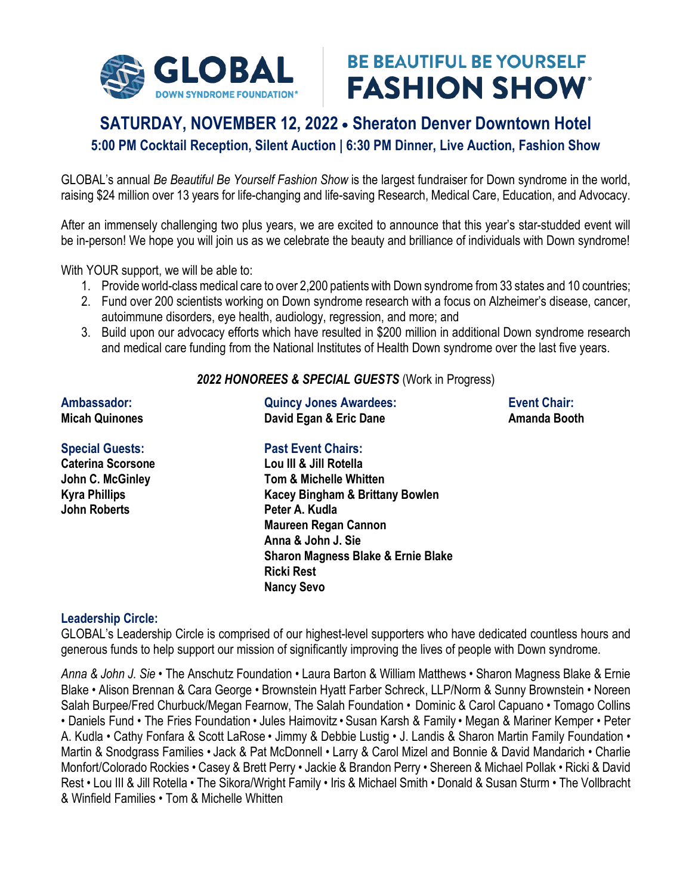

# **BE BEAUTIFUL BE YOURSELF FASHION SHOW**

## **SATURDAY, NOVEMBER 12, 2022 Sheraton Denver Downtown Hotel**

**5:00 PM Cocktail Reception, Silent Auction | 6:30 PM Dinner, Live Auction, Fashion Show**

GLOBAL's annual *Be Beautiful Be Yourself Fashion Show* is the largest fundraiser for Down syndrome in the world, raising \$24 million over 13 years for life-changing and life-saving Research, Medical Care, Education, and Advocacy.

After an immensely challenging two plus years, we are excited to announce that this year's star-studded event will be in-person! We hope you will join us as we celebrate the beauty and brilliance of individuals with Down syndrome!

With YOUR support, we will be able to:

- 1. Provide world-class medical care to over 2,200 patients with Down syndrome from 33 states and 10 countries;
- 2. Fund over 200 scientists working on Down syndrome research with a focus on Alzheimer's disease, cancer, autoimmune disorders, eye health, audiology, regression, and more; and
- 3. Build upon our advocacy efforts which have resulted in \$200 million in additional Down syndrome research and medical care funding from the National Institutes of Health Down syndrome over the last five years.

#### *2022 HONOREES & SPECIAL GUESTS* (Work in Progress)

| Ambassador:              | <b>Quincy Jones Awardees:</b>                 | <b>Event Chair:</b> |
|--------------------------|-----------------------------------------------|---------------------|
| <b>Micah Quinones</b>    | David Egan & Eric Dane                        | Amanda Booth        |
| <b>Special Guests:</b>   | <b>Past Event Chairs:</b>                     |                     |
| <b>Caterina Scorsone</b> | Lou III & Jill Rotella                        |                     |
| John C. McGinley         | <b>Tom &amp; Michelle Whitten</b>             |                     |
| <b>Kyra Phillips</b>     | Kacey Bingham & Brittany Bowlen               |                     |
| <b>John Roberts</b>      | Peter A. Kudla                                |                     |
|                          | <b>Maureen Regan Cannon</b>                   |                     |
|                          | Anna & John J. Sie                            |                     |
|                          | <b>Sharon Magness Blake &amp; Ernie Blake</b> |                     |
|                          | <b>Ricki Rest</b>                             |                     |

**Nancy Sevo**

#### **Leadership Circle:**

GLOBAL's Leadership Circle is comprised of our highest-level supporters who have dedicated countless hours and generous funds to help support our mission of significantly improving the lives of people with Down syndrome.

*Anna & John J. Sie •* The Anschutz Foundation • Laura Barton & William Matthews • Sharon Magness Blake & Ernie Blake • Alison Brennan & Cara George • Brownstein Hyatt Farber Schreck, LLP/Norm & Sunny Brownstein • Noreen Salah Burpee/Fred Churbuck/Megan Fearnow, The Salah Foundation • Dominic & Carol Capuano • Tomago Collins • Daniels Fund • The Fries Foundation • Jules Haimovitz • Susan Karsh & Family • Megan & Mariner Kemper • Peter A. Kudla • Cathy Fonfara & Scott LaRose • Jimmy & Debbie Lustig • J. Landis & Sharon Martin Family Foundation *•*  Martin & Snodgrass Families • Jack & Pat McDonnell • Larry & Carol Mizel and Bonnie & David Mandarich • Charlie Monfort/Colorado Rockies • Casey & Brett Perry • Jackie & Brandon Perry • Shereen & Michael Pollak • Ricki & David Rest • Lou III & Jill Rotella • The Sikora/Wright Family • Iris & Michael Smith • Donald & Susan Sturm • The Vollbracht & Winfield Families • Tom & Michelle Whitten